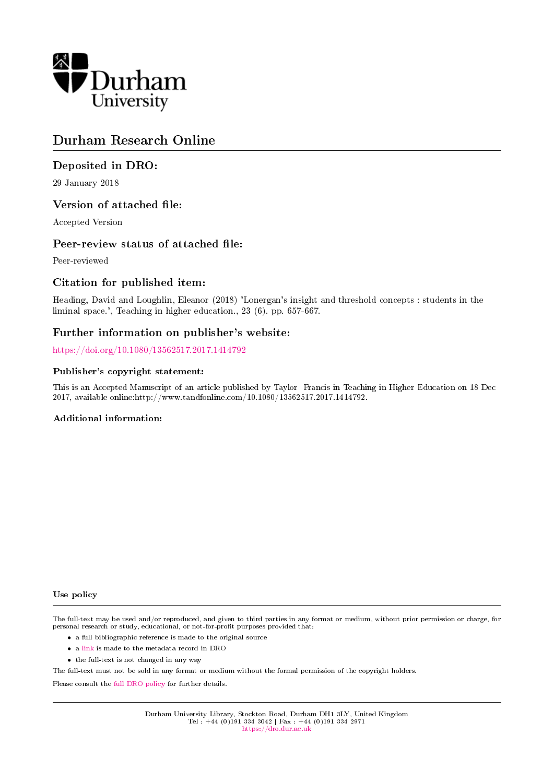

# Durham Research Online

# Deposited in DRO:

29 January 2018

## Version of attached file:

Accepted Version

## Peer-review status of attached file:

Peer-reviewed

# Citation for published item:

Heading, David and Loughlin, Eleanor (2018) 'Lonergan's insight and threshold concepts : students in the liminal space.', Teaching in higher education., 23 (6). pp. 657-667.

## Further information on publisher's website:

<https://doi.org/10.1080/13562517.2017.1414792>

## Publisher's copyright statement:

This is an Accepted Manuscript of an article published by Taylor Francis in Teaching in Higher Education on 18 Dec 2017, available online:http://www.tandfonline.com/10.1080/13562517.2017.1414792.

## Additional information:

#### Use policy

The full-text may be used and/or reproduced, and given to third parties in any format or medium, without prior permission or charge, for personal research or study, educational, or not-for-profit purposes provided that:

- a full bibliographic reference is made to the original source
- a [link](http://dro.dur.ac.uk/24010/) is made to the metadata record in DRO
- the full-text is not changed in any way

The full-text must not be sold in any format or medium without the formal permission of the copyright holders.

Please consult the [full DRO policy](https://dro.dur.ac.uk/policies/usepolicy.pdf) for further details.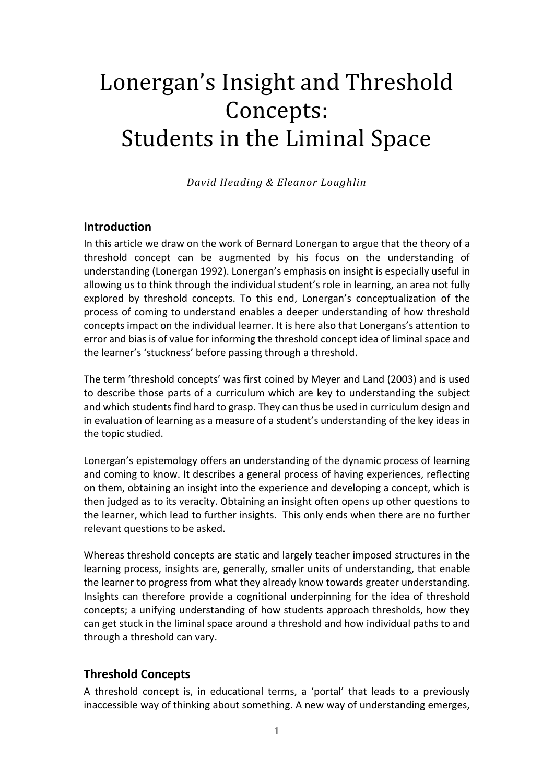# Lonergan's Insight and Threshold Concepts: Students in the Liminal Space

*David Heading & Eleanor Loughlin*

# **Introduction**

In this article we draw on the work of Bernard Lonergan to argue that the theory of a threshold concept can be augmented by his focus on the understanding of understanding [\(Lonergan 1992\)](#page-11-0). Lonergan's emphasis on insight is especially useful in allowing us to think through the individual student's role in learning, an area not fully explored by threshold concepts. To this end, Lonergan's conceptualization of the process of coming to understand enables a deeper understanding of how threshold concepts impact on the individual learner. It is here also that Lonergans's attention to error and bias is of value for informing the threshold concept idea of liminal space and the learner's 'stuckness' before passing through a threshold.

The term 'threshold concepts' was first coined by Meyer and Land (2003) and is used to describe those parts of a curriculum which are key to understanding the subject and which students find hard to grasp. They can thus be used in curriculum design and in evaluation of learning as a measure of a student's understanding of the key ideas in the topic studied.

Lonergan's epistemology offers an understanding of the dynamic process of learning and coming to know. It describes a general process of having experiences, reflecting on them, obtaining an insight into the experience and developing a concept, which is then judged as to its veracity. Obtaining an insight often opens up other questions to the learner, which lead to further insights. This only ends when there are no further relevant questions to be asked.

Whereas threshold concepts are static and largely teacher imposed structures in the learning process, insights are, generally, smaller units of understanding, that enable the learner to progress from what they already know towards greater understanding. Insights can therefore provide a cognitional underpinning for the idea of threshold concepts; a unifying understanding of how students approach thresholds, how they can get stuck in the liminal space around a threshold and how individual paths to and through a threshold can vary.

# **Threshold Concepts**

A threshold concept is, in educational terms, a 'portal' that leads to a previously inaccessible way of thinking about something. A new way of understanding emerges,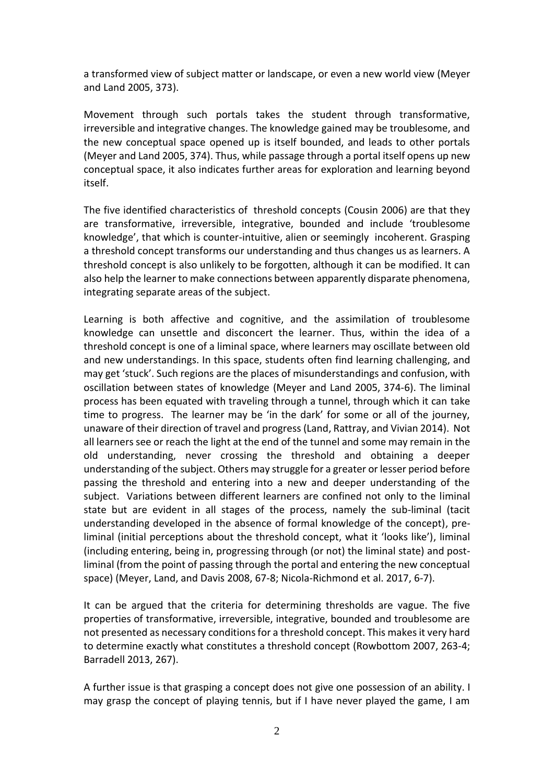a transformed view of subject matter or landscape, or even a new world view [\(Meyer](#page-11-1)  [and Land 2005, 373\)](#page-11-1).

Movement through such portals takes the student through transformative, irreversible and integrative changes. The knowledge gained may be troublesome, and the new conceptual space opened up is itself bounded, and leads to other portals [\(Meyer and Land 2005, 374\)](#page-11-1). Thus, while passage through a portal itself opens up new conceptual space, it also indicates further areas for exploration and learning beyond itself.

The five identified characteristics of threshold concepts [\(Cousin 2006\)](#page-11-2) are that they are transformative, irreversible, integrative, bounded and include 'troublesome knowledge', that which is counter-intuitive, alien or seemingly incoherent. Grasping a threshold concept transforms our understanding and thus changes us as learners. A threshold concept is also unlikely to be forgotten, although it can be modified. It can also help the learner to make connections between apparently disparate phenomena, integrating separate areas of the subject.

Learning is both affective and cognitive, and the assimilation of troublesome knowledge can unsettle and disconcert the learner. Thus, within the idea of a threshold concept is one of a liminal space, where learners may oscillate between old and new understandings. In this space, students often find learning challenging, and may get 'stuck'. Such regions are the places of misunderstandings and confusion, with oscillation between states of knowledge [\(Meyer and Land 2005, 374-6\)](#page-11-1). The liminal process has been equated with traveling through a tunnel, through which it can take time to progress. The learner may be 'in the dark' for some or all of the journey, unaware of their direction of travel and progress [\(Land, Rattray, and Vivian 2014\)](#page-11-3). Not all learners see or reach the light at the end of the tunnel and some may remain in the old understanding, never crossing the threshold and obtaining a deeper understanding of the subject. Others may struggle for a greater or lesser period before passing the threshold and entering into a new and deeper understanding of the subject. Variations between different learners are confined not only to the liminal state but are evident in all stages of the process, namely the sub-liminal (tacit understanding developed in the absence of formal knowledge of the concept), preliminal (initial perceptions about the threshold concept, what it 'looks like'), liminal (including entering, being in, progressing through (or not) the liminal state) and postliminal (from the point of passing through the portal and entering the new conceptual space) [\(Meyer, Land, and Davis 2008, 67-8;](#page-11-4) [Nicola-Richmond et al. 2017, 6-7\)](#page-11-5).

It can be argued that the criteria for determining thresholds are vague. The five properties of transformative, irreversible, integrative, bounded and troublesome are not presented as necessary conditions for a threshold concept. This makes it very hard to determine exactly what constitutes a threshold concept [\(Rowbottom 2007, 263-4;](#page-11-6) [Barradell 2013, 267\)](#page-11-7).

A further issue is that grasping a concept does not give one possession of an ability. I may grasp the concept of playing tennis, but if I have never played the game, I am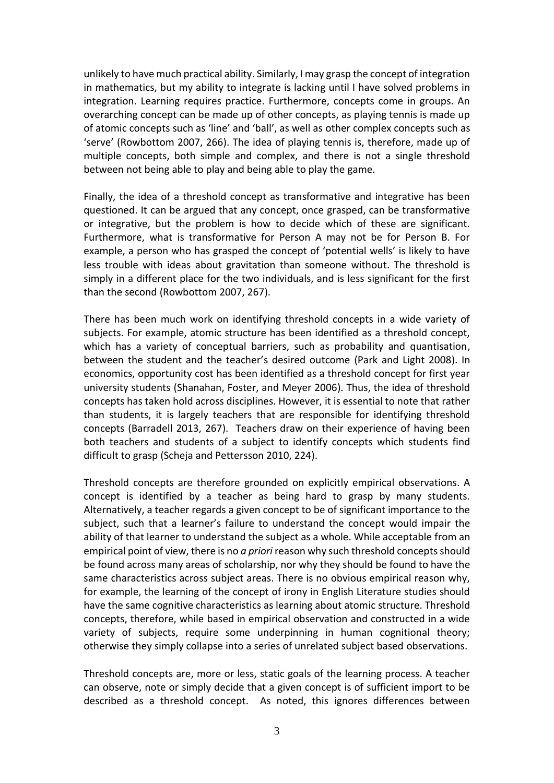unlikely to have much practical ability. Similarly, I may grasp the concept of integration in mathematics, but my ability to integrate is lacking until I have solved problems in integration. Learning requires practice. Furthermore, concepts come in groups. An overarching concept can be made up of other concepts, as playing tennis is made up of atomic concepts such as 'line' and 'ball', as well as other complex concepts such as 'serve' [\(Rowbottom 2007, 266\)](#page-11-6). The idea of playing tennis is, therefore, made up of multiple concepts, both simple and complex, and there is not a single threshold between not being able to play and being able to play the game.

Finally, the idea of a threshold concept as transformative and integrative has been questioned. It can be argued that any concept, once grasped, can be transformative or integrative, but the problem is how to decide which of these are significant. Furthermore, what is transformative for Person A may not be for Person B. For example, a person who has grasped the concept of 'potential wells' is likely to have less trouble with ideas about gravitation than someone without. The threshold is simply in a different place for the two individuals, and is less significant for the first than the second [\(Rowbottom 2007, 267\)](#page-11-6).

There has been much work on identifying threshold concepts in a wide variety of subjects. For example, atomic structure has been identified as a threshold concept, which has a variety of conceptual barriers, such as probability and quantisation, between the student and the teacher's desired outcome [\(Park and Light 2008\)](#page-11-8). In economics, opportunity cost has been identified as a threshold concept for first year university students [\(Shanahan, Foster, and Meyer 2006\)](#page-12-0). Thus, the idea of threshold concepts has taken hold across disciplines. However, it is essential to note that rather than students, it is largely teachers that are responsible for identifying threshold concepts [\(Barradell 2013, 267\)](#page-11-7). Teachers draw on their experience of having been both teachers and students of a subject to identify concepts which students find difficult to grasp [\(Scheja and Pettersson 2010, 224\)](#page-11-9).

Threshold concepts are therefore grounded on explicitly empirical observations. A concept is identified by a teacher as being hard to grasp by many students. Alternatively, a teacher regards a given concept to be of significant importance to the subject, such that a learner's failure to understand the concept would impair the ability of that learner to understand the subject as a whole. While acceptable from an empirical point of view, there is no *a priori* reason why such threshold concepts should be found across many areas of scholarship, nor why they should be found to have the same characteristics across subject areas. There is no obvious empirical reason why, for example, the learning of the concept of irony in English Literature studies should have the same cognitive characteristics as learning about atomic structure. Threshold concepts, therefore, while based in empirical observation and constructed in a wide variety of subjects, require some underpinning in human cognitional theory; otherwise they simply collapse into a series of unrelated subject based observations.

Threshold concepts are, more or less, static goals of the learning process. A teacher can observe, note or simply decide that a given concept is of sufficient import to be described as a threshold concept. As noted, this ignores differences between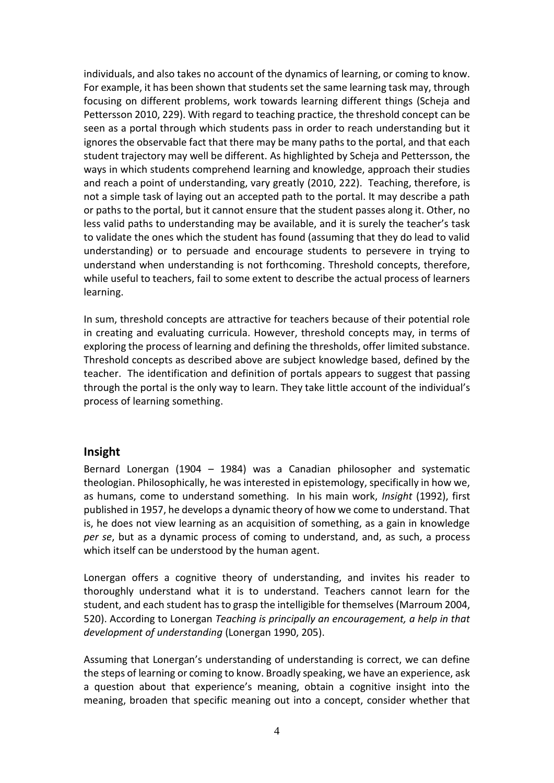individuals, and also takes no account of the dynamics of learning, or coming to know. For example, it has been shown that students set the same learning task may, through focusing on different problems, work towards learning different things [\(Scheja and](#page-11-9)  [Pettersson 2010, 229\)](#page-11-9). With regard to teaching practice, the threshold concept can be seen as a portal through which students pass in order to reach understanding but it ignores the observable fact that there may be many paths to the portal, and that each student trajectory may well be different. As highlighted by Scheja and Pettersson, the ways in which students comprehend learning and knowledge, approach their studies and reach a point of understanding, vary greatly [\(2010,](#page-11-9) 222). Teaching, therefore, is not a simple task of laying out an accepted path to the portal. It may describe a path or paths to the portal, but it cannot ensure that the student passes along it. Other, no less valid paths to understanding may be available, and it is surely the teacher's task to validate the ones which the student has found (assuming that they do lead to valid understanding) or to persuade and encourage students to persevere in trying to understand when understanding is not forthcoming. Threshold concepts, therefore, while useful to teachers, fail to some extent to describe the actual process of learners learning.

In sum, threshold concepts are attractive for teachers because of their potential role in creating and evaluating curricula. However, threshold concepts may, in terms of exploring the process of learning and defining the thresholds, offer limited substance. Threshold concepts as described above are subject knowledge based, defined by the teacher. The identification and definition of portals appears to suggest that passing through the portal is the only way to learn. They take little account of the individual's process of learning something.

# **Insight**

Bernard Lonergan (1904 – 1984) was a Canadian philosopher and systematic theologian. Philosophically, he was interested in epistemology, specifically in how we, as humans, come to understand something. In his main work, *Insight* [\(1992\)](#page-11-0), first published in 1957, he develops a dynamic theory of how we come to understand. That is, he does not view learning as an acquisition of something, as a gain in knowledge *per se*, but as a dynamic process of coming to understand, and, as such, a process which itself can be understood by the human agent.

Lonergan offers a cognitive theory of understanding, and invites his reader to thoroughly understand what it is to understand. Teachers cannot learn for the student, and each student has to grasp the intelligible for themselves [\(Marroum 2004,](#page-11-10)  [520\)](#page-11-10). According to Lonergan *Teaching is principally an encouragement, a help in that development of understanding* [\(Lonergan 1990, 205\)](#page-11-11).

Assuming that Lonergan's understanding of understanding is correct, we can define the steps of learning or coming to know. Broadly speaking, we have an experience, ask a question about that experience's meaning, obtain a cognitive insight into the meaning, broaden that specific meaning out into a concept, consider whether that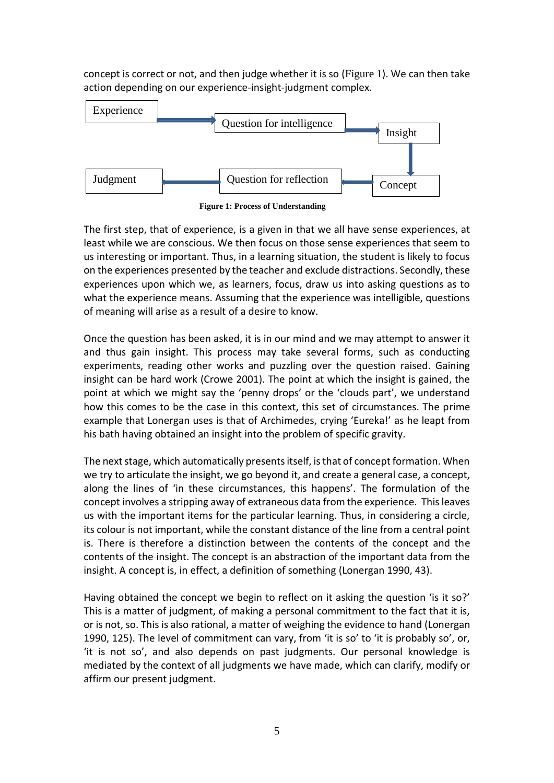concept is correct or not, and then judge whether it is so ([Figure 1](#page-5-0)). We can then take action depending on our experience-insight-judgment complex.



**Figure 1: Process of Understanding**

<span id="page-5-0"></span>The first step, that of experience, is a given in that we all have sense experiences, at least while we are conscious. We then focus on those sense experiences that seem to us interesting or important. Thus, in a learning situation, the student is likely to focus on the experiences presented by the teacher and exclude distractions. Secondly, these experiences upon which we, as learners, focus, draw us into asking questions as to what the experience means. Assuming that the experience was intelligible, questions of meaning will arise as a result of a desire to know.

Once the question has been asked, it is in our mind and we may attempt to answer it and thus gain insight. This process may take several forms, such as conducting experiments, reading other works and puzzling over the question raised. Gaining insight can be hard work [\(Crowe 2001\)](#page-11-12). The point at which the insight is gained, the point at which we might say the 'penny drops' or the 'clouds part', we understand how this comes to be the case in this context, this set of circumstances. The prime example that Lonergan uses is that of Archimedes, crying 'Eureka!' as he leapt from his bath having obtained an insight into the problem of specific gravity.

The next stage, which automatically presents itself, is that of concept formation. When we try to articulate the insight, we go beyond it, and create a general case, a concept, along the lines of 'in these circumstances, this happens'. The formulation of the concept involves a stripping away of extraneous data from the experience. This leaves us with the important items for the particular learning. Thus, in considering a circle, its colour is not important, while the constant distance of the line from a central point is. There is therefore a distinction between the contents of the concept and the contents of the insight. The concept is an abstraction of the important data from the insight. A concept is, in effect, a definition of something [\(Lonergan 1990, 43\)](#page-11-11).

Having obtained the concept we begin to reflect on it asking the question 'is it so?' This is a matter of judgment, of making a personal commitment to the fact that it is, or is not, so. This is also rational, a matter of weighing the evidence to hand [\(Lonergan](#page-11-11)  [1990, 125\)](#page-11-11). The level of commitment can vary, from 'it is so' to 'it is probably so', or, 'it is not so', and also depends on past judgments. Our personal knowledge is mediated by the context of all judgments we have made, which can clarify, modify or affirm our present judgment.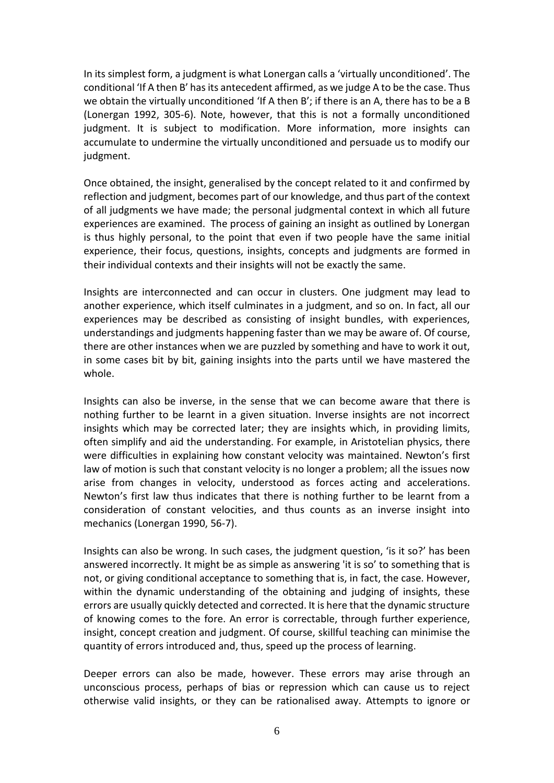In its simplest form, a judgment is what Lonergan calls a 'virtually unconditioned'. The conditional 'If A then B' has its antecedent affirmed, as we judge A to be the case. Thus we obtain the virtually unconditioned 'If A then B'; if there is an A, there has to be a B [\(Lonergan 1992, 305-6\)](#page-11-0). Note, however, that this is not a formally unconditioned judgment. It is subject to modification. More information, more insights can accumulate to undermine the virtually unconditioned and persuade us to modify our judgment.

Once obtained, the insight, generalised by the concept related to it and confirmed by reflection and judgment, becomes part of our knowledge, and thus part of the context of all judgments we have made; the personal judgmental context in which all future experiences are examined. The process of gaining an insight as outlined by Lonergan is thus highly personal, to the point that even if two people have the same initial experience, their focus, questions, insights, concepts and judgments are formed in their individual contexts and their insights will not be exactly the same.

Insights are interconnected and can occur in clusters. One judgment may lead to another experience, which itself culminates in a judgment, and so on. In fact, all our experiences may be described as consisting of insight bundles, with experiences, understandings and judgments happening faster than we may be aware of. Of course, there are other instances when we are puzzled by something and have to work it out, in some cases bit by bit, gaining insights into the parts until we have mastered the whole.

Insights can also be inverse, in the sense that we can become aware that there is nothing further to be learnt in a given situation. Inverse insights are not incorrect insights which may be corrected later; they are insights which, in providing limits, often simplify and aid the understanding. For example, in Aristotelian physics, there were difficulties in explaining how constant velocity was maintained. Newton's first law of motion is such that constant velocity is no longer a problem; all the issues now arise from changes in velocity, understood as forces acting and accelerations. Newton's first law thus indicates that there is nothing further to be learnt from a consideration of constant velocities, and thus counts as an inverse insight into mechanics [\(Lonergan 1990, 56-7\)](#page-11-11).

Insights can also be wrong. In such cases, the judgment question, 'is it so?' has been answered incorrectly. It might be as simple as answering 'it is so' to something that is not, or giving conditional acceptance to something that is, in fact, the case. However, within the dynamic understanding of the obtaining and judging of insights, these errors are usually quickly detected and corrected. It is here that the dynamic structure of knowing comes to the fore. An error is correctable, through further experience, insight, concept creation and judgment. Of course, skillful teaching can minimise the quantity of errors introduced and, thus, speed up the process of learning.

Deeper errors can also be made, however. These errors may arise through an unconscious process, perhaps of bias or repression which can cause us to reject otherwise valid insights, or they can be rationalised away. Attempts to ignore or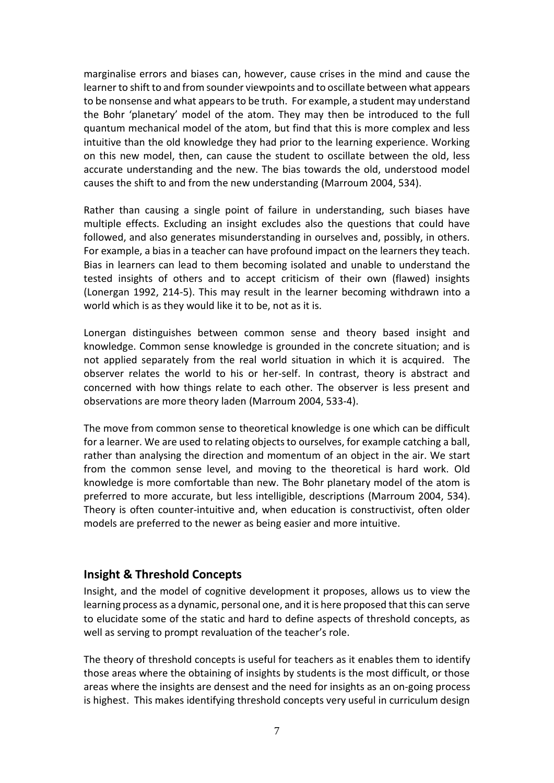marginalise errors and biases can, however, cause crises in the mind and cause the learner to shift to and from sounder viewpoints and to oscillate between what appears to be nonsense and what appears to be truth. For example, a student may understand the Bohr 'planetary' model of the atom. They may then be introduced to the full quantum mechanical model of the atom, but find that this is more complex and less intuitive than the old knowledge they had prior to the learning experience. Working on this new model, then, can cause the student to oscillate between the old, less accurate understanding and the new. The bias towards the old, understood model causes the shift to and from the new understanding [\(Marroum 2004, 534\)](#page-11-10).

Rather than causing a single point of failure in understanding, such biases have multiple effects. Excluding an insight excludes also the questions that could have followed, and also generates misunderstanding in ourselves and, possibly, in others. For example, a bias in a teacher can have profound impact on the learners they teach. Bias in learners can lead to them becoming isolated and unable to understand the tested insights of others and to accept criticism of their own (flawed) insights [\(Lonergan 1992, 214-5\)](#page-11-0). This may result in the learner becoming withdrawn into a world which is as they would like it to be, not as it is.

Lonergan distinguishes between common sense and theory based insight and knowledge. Common sense knowledge is grounded in the concrete situation; and is not applied separately from the real world situation in which it is acquired. The observer relates the world to his or her-self. In contrast, theory is abstract and concerned with how things relate to each other. The observer is less present and observations are more theory laden [\(Marroum 2004, 533-4\)](#page-11-10).

The move from common sense to theoretical knowledge is one which can be difficult for a learner. We are used to relating objects to ourselves, for example catching a ball, rather than analysing the direction and momentum of an object in the air. We start from the common sense level, and moving to the theoretical is hard work. Old knowledge is more comfortable than new. The Bohr planetary model of the atom is preferred to more accurate, but less intelligible, descriptions [\(Marroum 2004, 534\)](#page-11-10). Theory is often counter-intuitive and, when education is constructivist, often older models are preferred to the newer as being easier and more intuitive.

# **Insight & Threshold Concepts**

Insight, and the model of cognitive development it proposes, allows us to view the learning process as a dynamic, personal one, and it is here proposed that this can serve to elucidate some of the static and hard to define aspects of threshold concepts, as well as serving to prompt revaluation of the teacher's role.

The theory of threshold concepts is useful for teachers as it enables them to identify those areas where the obtaining of insights by students is the most difficult, or those areas where the insights are densest and the need for insights as an on-going process is highest. This makes identifying threshold concepts very useful in curriculum design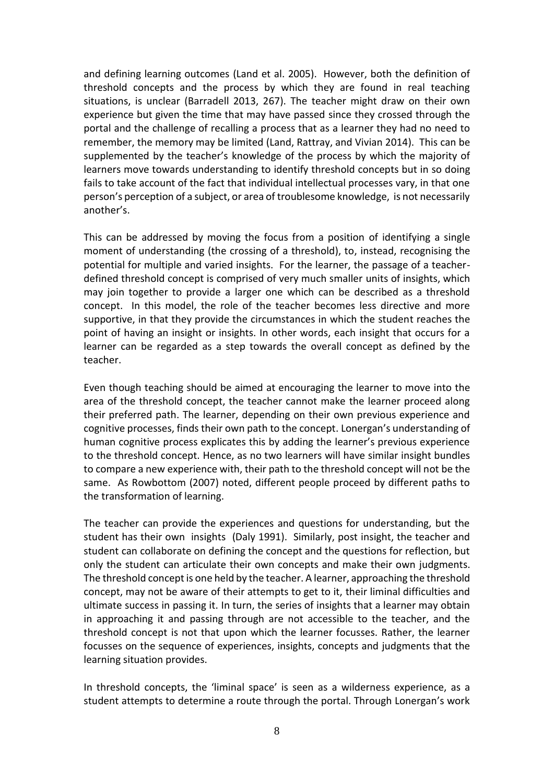and defining learning outcomes [\(Land et al. 2005\)](#page-11-13). However, both the definition of threshold concepts and the process by which they are found in real teaching situations, is unclear [\(Barradell 2013, 267\)](#page-11-7). The teacher might draw on their own experience but given the time that may have passed since they crossed through the portal and the challenge of recalling a process that as a learner they had no need to remember, the memory may be limited [\(Land, Rattray, and Vivian 2014\)](#page-11-3). This can be supplemented by the teacher's knowledge of the process by which the majority of learners move towards understanding to identify threshold concepts but in so doing fails to take account of the fact that individual intellectual processes vary, in that one person's perception of a subject, or area of troublesome knowledge, is not necessarily another's.

This can be addressed by moving the focus from a position of identifying a single moment of understanding (the crossing of a threshold), to, instead, recognising the potential for multiple and varied insights. For the learner, the passage of a teacherdefined threshold concept is comprised of very much smaller units of insights, which may join together to provide a larger one which can be described as a threshold concept. In this model, the role of the teacher becomes less directive and more supportive, in that they provide the circumstances in which the student reaches the point of having an insight or insights. In other words, each insight that occurs for a learner can be regarded as a step towards the overall concept as defined by the teacher.

Even though teaching should be aimed at encouraging the learner to move into the area of the threshold concept, the teacher cannot make the learner proceed along their preferred path. The learner, depending on their own previous experience and cognitive processes, finds their own path to the concept. Lonergan's understanding of human cognitive process explicates this by adding the learner's previous experience to the threshold concept. Hence, as no two learners will have similar insight bundles to compare a new experience with, their path to the threshold concept will not be the same. As Rowbottom (2007) noted, different people proceed by different paths to the transformation of learning.

The teacher can provide the experiences and questions for understanding, but the student has their own insights [\(Daly 1991\)](#page-11-14). Similarly, post insight, the teacher and student can collaborate on defining the concept and the questions for reflection, but only the student can articulate their own concepts and make their own judgments. The threshold concept is one held by the teacher. A learner, approaching the threshold concept, may not be aware of their attempts to get to it, their liminal difficulties and ultimate success in passing it. In turn, the series of insights that a learner may obtain in approaching it and passing through are not accessible to the teacher, and the threshold concept is not that upon which the learner focusses. Rather, the learner focusses on the sequence of experiences, insights, concepts and judgments that the learning situation provides.

In threshold concepts, the 'liminal space' is seen as a wilderness experience, as a student attempts to determine a route through the portal. Through Lonergan's work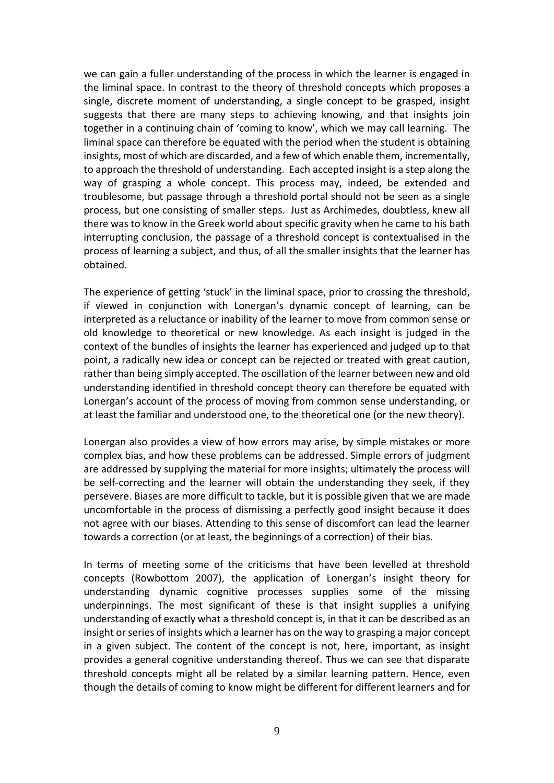we can gain a fuller understanding of the process in which the learner is engaged in the liminal space. In contrast to the theory of threshold concepts which proposes a single, discrete moment of understanding, a single concept to be grasped, insight suggests that there are many steps to achieving knowing, and that insights join together in a continuing chain of 'coming to know', which we may call learning. The liminal space can therefore be equated with the period when the student is obtaining insights, most of which are discarded, and a few of which enable them, incrementally, to approach the threshold of understanding. Each accepted insight is a step along the way of grasping a whole concept. This process may, indeed, be extended and troublesome, but passage through a threshold portal should not be seen as a single process, but one consisting of smaller steps. Just as Archimedes, doubtless, knew all there was to know in the Greek world about specific gravity when he came to his bath interrupting conclusion, the passage of a threshold concept is contextualised in the process of learning a subject, and thus, of all the smaller insights that the learner has obtained.

The experience of getting 'stuck' in the liminal space, prior to crossing the threshold, if viewed in conjunction with Lonergan's dynamic concept of learning, can be interpreted as a reluctance or inability of the learner to move from common sense or old knowledge to theoretical or new knowledge. As each insight is judged in the context of the bundles of insights the learner has experienced and judged up to that point, a radically new idea or concept can be rejected or treated with great caution, rather than being simply accepted. The oscillation of the learner between new and old understanding identified in threshold concept theory can therefore be equated with Lonergan's account of the process of moving from common sense understanding, or at least the familiar and understood one, to the theoretical one (or the new theory).

Lonergan also provides a view of how errors may arise, by simple mistakes or more complex bias, and how these problems can be addressed. Simple errors of judgment are addressed by supplying the material for more insights; ultimately the process will be self-correcting and the learner will obtain the understanding they seek, if they persevere. Biases are more difficult to tackle, but it is possible given that we are made uncomfortable in the process of dismissing a perfectly good insight because it does not agree with our biases. Attending to this sense of discomfort can lead the learner towards a correction (or at least, the beginnings of a correction) of their bias.

In terms of meeting some of the criticisms that have been levelled at threshold concepts [\(Rowbottom 2007\)](#page-11-6), the application of Lonergan's insight theory for understanding dynamic cognitive processes supplies some of the missing underpinnings. The most significant of these is that insight supplies a unifying understanding of exactly what a threshold concept is, in that it can be described as an insight or series of insights which a learner has on the way to grasping a major concept in a given subject. The content of the concept is not, here, important, as insight provides a general cognitive understanding thereof. Thus we can see that disparate threshold concepts might all be related by a similar learning pattern. Hence, even though the details of coming to know might be different for different learners and for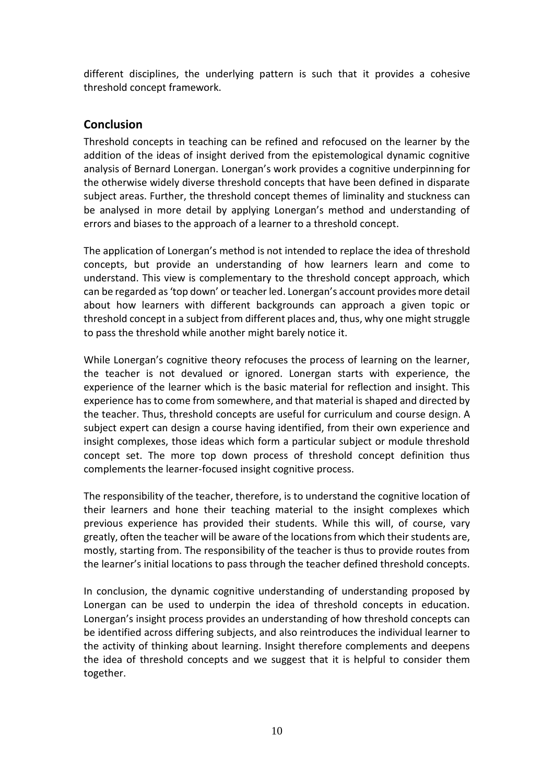different disciplines, the underlying pattern is such that it provides a cohesive threshold concept framework.

# **Conclusion**

Threshold concepts in teaching can be refined and refocused on the learner by the addition of the ideas of insight derived from the epistemological dynamic cognitive analysis of Bernard Lonergan. Lonergan's work provides a cognitive underpinning for the otherwise widely diverse threshold concepts that have been defined in disparate subject areas. Further, the threshold concept themes of liminality and stuckness can be analysed in more detail by applying Lonergan's method and understanding of errors and biases to the approach of a learner to a threshold concept.

The application of Lonergan's method is not intended to replace the idea of threshold concepts, but provide an understanding of how learners learn and come to understand. This view is complementary to the threshold concept approach, which can be regarded as 'top down' or teacher led. Lonergan's account provides more detail about how learners with different backgrounds can approach a given topic or threshold concept in a subject from different places and, thus, why one might struggle to pass the threshold while another might barely notice it.

While Lonergan's cognitive theory refocuses the process of learning on the learner, the teacher is not devalued or ignored. Lonergan starts with experience, the experience of the learner which is the basic material for reflection and insight. This experience has to come from somewhere, and that material is shaped and directed by the teacher. Thus, threshold concepts are useful for curriculum and course design. A subject expert can design a course having identified, from their own experience and insight complexes, those ideas which form a particular subject or module threshold concept set. The more top down process of threshold concept definition thus complements the learner-focused insight cognitive process.

The responsibility of the teacher, therefore, is to understand the cognitive location of their learners and hone their teaching material to the insight complexes which previous experience has provided their students. While this will, of course, vary greatly, often the teacher will be aware of the locations from which their students are, mostly, starting from. The responsibility of the teacher is thus to provide routes from the learner's initial locations to pass through the teacher defined threshold concepts.

In conclusion, the dynamic cognitive understanding of understanding proposed by Lonergan can be used to underpin the idea of threshold concepts in education. Lonergan's insight process provides an understanding of how threshold concepts can be identified across differing subjects, and also reintroduces the individual learner to the activity of thinking about learning. Insight therefore complements and deepens the idea of threshold concepts and we suggest that it is helpful to consider them together.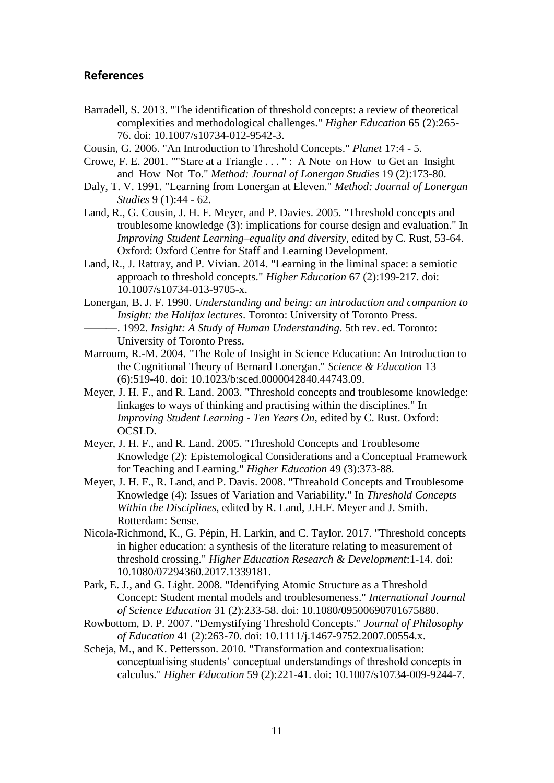## **References**

- <span id="page-11-7"></span>Barradell, S. 2013. "The identification of threshold concepts: a review of theoretical complexities and methodological challenges." *Higher Education* 65 (2):265- 76. doi: 10.1007/s10734-012-9542-3.
- <span id="page-11-2"></span>Cousin, G. 2006. "An Introduction to Threshold Concepts." *Planet* 17:4 - 5.
- <span id="page-11-12"></span>Crowe, F. E. 2001. ""Stare at a Triangle . . . " : A Note on How to Get an Insight and How Not To." *Method: Journal of Lonergan Studies* 19 (2):173-80.
- <span id="page-11-14"></span>Daly, T. V. 1991. "Learning from Lonergan at Eleven." *Method: Journal of Lonergan Studies* 9 (1):44 - 62.
- <span id="page-11-13"></span>Land, R., G. Cousin, J. H. F. Meyer, and P. Davies. 2005. "Threshold concepts and troublesome knowledge (3): implications for course design and evaluation." In *Improving Student Learning–equality and diversity*, edited by C. Rust, 53-64. Oxford: Oxford Centre for Staff and Learning Development.
- <span id="page-11-3"></span>Land, R., J. Rattray, and P. Vivian. 2014. "Learning in the liminal space: a semiotic approach to threshold concepts." *Higher Education* 67 (2):199-217. doi: 10.1007/s10734-013-9705-x.
- <span id="page-11-11"></span><span id="page-11-0"></span>Lonergan, B. J. F. 1990. *Understanding and being: an introduction and companion to Insight: the Halifax lectures*. Toronto: University of Toronto Press. ———. 1992. *Insight: A Study of Human Understanding*. 5th rev. ed. Toronto:
	- University of Toronto Press.
- <span id="page-11-10"></span>Marroum, R.-M. 2004. "The Role of Insight in Science Education: An Introduction to the Cognitional Theory of Bernard Lonergan." *Science & Education* 13 (6):519-40. doi: 10.1023/b:sced.0000042840.44743.09.
- Meyer, J. H. F., and R. Land. 2003. "Threshold concepts and troublesome knowledge: linkages to ways of thinking and practising within the disciplines." In *Improving Student Learning - Ten Years On*, edited by C. Rust. Oxford: OCSLD.
- <span id="page-11-1"></span>Meyer, J. H. F., and R. Land. 2005. "Threshold Concepts and Troublesome Knowledge (2): Epistemological Considerations and a Conceptual Framework for Teaching and Learning." *Higher Education* 49 (3):373-88.
- <span id="page-11-4"></span>Meyer, J. H. F., R. Land, and P. Davis. 2008. "Threahold Concepts and Troublesome Knowledge (4): Issues of Variation and Variability." In *Threshold Concepts Within the Disciplines*, edited by R. Land, J.H.F. Meyer and J. Smith. Rotterdam: Sense.
- <span id="page-11-5"></span>Nicola-Richmond, K., G. Pépin, H. Larkin, and C. Taylor. 2017. "Threshold concepts in higher education: a synthesis of the literature relating to measurement of threshold crossing." *Higher Education Research & Development*:1-14. doi: 10.1080/07294360.2017.1339181.
- <span id="page-11-8"></span>Park, E. J., and G. Light. 2008. "Identifying Atomic Structure as a Threshold Concept: Student mental models and troublesomeness." *International Journal of Science Education* 31 (2):233-58. doi: 10.1080/09500690701675880.
- <span id="page-11-6"></span>Rowbottom, D. P. 2007. "Demystifying Threshold Concepts." *Journal of Philosophy of Education* 41 (2):263-70. doi: 10.1111/j.1467-9752.2007.00554.x.
- <span id="page-11-9"></span>Scheja, M., and K. Pettersson. 2010. "Transformation and contextualisation: conceptualising students' conceptual understandings of threshold concepts in calculus." *Higher Education* 59 (2):221-41. doi: 10.1007/s10734-009-9244-7.